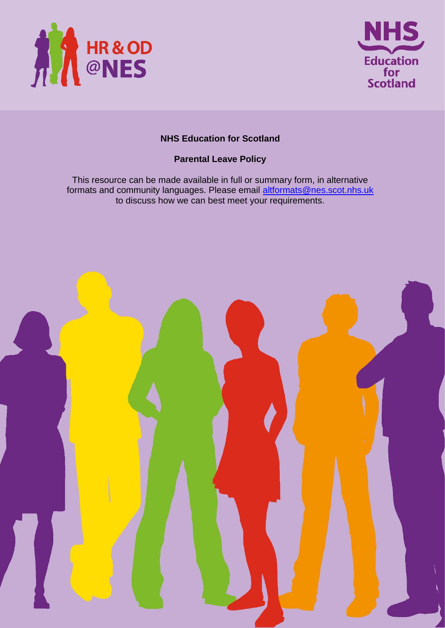



# **NHS Education for Scotland**

# **Parental Leave Policy**

This resource can be made available in full or summary form, in alternative formats and community languages. Please email altformats@nes.scot.nhs.uk to discuss how we can best meet your requirements.

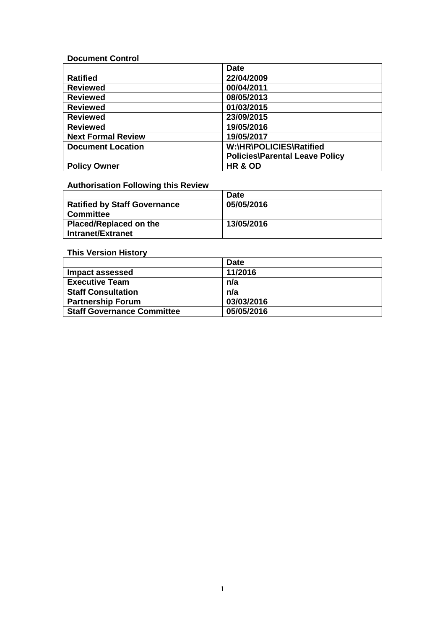**Document Control**

|                           | <b>Date</b>                           |  |
|---------------------------|---------------------------------------|--|
| <b>Ratified</b>           | 22/04/2009                            |  |
| <b>Reviewed</b>           | 00/04/2011                            |  |
| <b>Reviewed</b>           | 08/05/2013                            |  |
| <b>Reviewed</b>           | 01/03/2015                            |  |
| <b>Reviewed</b>           | 23/09/2015                            |  |
| <b>Reviewed</b>           | 19/05/2016                            |  |
| <b>Next Formal Review</b> | 19/05/2017                            |  |
| <b>Document Location</b>  | W:\HR\POLICIES\Ratified               |  |
|                           | <b>Policies\Parental Leave Policy</b> |  |
| <b>Policy Owner</b>       | HR & OD                               |  |

# **Authorisation Following this Review**

|                              | <b>Date</b> |
|------------------------------|-------------|
| Ratified by Staff Governance | 05/05/2016  |
| <b>Committee</b>             |             |
| Placed/Replaced on the       | 13/05/2016  |
| Intranet/Extranet            |             |

# **This Version History**

|                                   | <b>Date</b> |
|-----------------------------------|-------------|
| Impact assessed                   | 11/2016     |
| <b>Executive Team</b>             | n/a         |
| <b>Staff Consultation</b>         | n/a         |
| <b>Partnership Forum</b>          | 03/03/2016  |
| <b>Staff Governance Committee</b> | 05/05/2016  |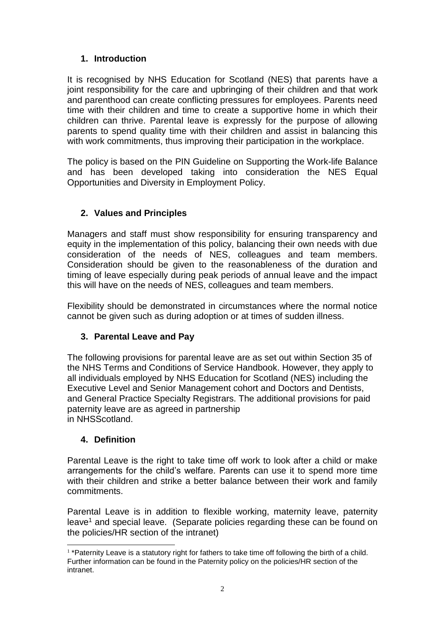# **1. Introduction**

It is recognised by NHS Education for Scotland (NES) that parents have a joint responsibility for the care and upbringing of their children and that work and parenthood can create conflicting pressures for employees. Parents need time with their children and time to create a supportive home in which their children can thrive. Parental leave is expressly for the purpose of allowing parents to spend quality time with their children and assist in balancing this with work commitments, thus improving their participation in the workplace.

The policy is based on the PIN Guideline on Supporting the Work-life Balance and has been developed taking into consideration the NES Equal Opportunities and Diversity in Employment Policy.

# **2. Values and Principles**

Managers and staff must show responsibility for ensuring transparency and equity in the implementation of this policy, balancing their own needs with due consideration of the needs of NES, colleagues and team members. Consideration should be given to the reasonableness of the duration and timing of leave especially during peak periods of annual leave and the impact this will have on the needs of NES, colleagues and team members.

Flexibility should be demonstrated in circumstances where the normal notice cannot be given such as during adoption or at times of sudden illness.

# **3. Parental Leave and Pay**

The following provisions for parental leave are as set out within Section 35 of the NHS Terms and Conditions of Service Handbook. However, they apply to all individuals employed by NHS Education for Scotland (NES) including the Executive Level and Senior Management cohort and Doctors and Dentists, and General Practice Specialty Registrars. The additional provisions for paid paternity leave are as agreed in partnership in NHSScotland.

### **4. Definition**

Parental Leave is the right to take time off work to look after a child or make arrangements for the child's welfare. Parents can use it to spend more time with their children and strike a better balance between their work and family commitments.

Parental Leave is in addition to flexible working, maternity leave, paternity leave<sup>1</sup> and special leave. (Separate policies regarding these can be found on the policies/HR section of the intranet)

<sup>-</sup><sup>1</sup> \*Paternity Leave is a statutory right for fathers to take time off following the birth of a child. Further information can be found in the Paternity policy on the policies/HR section of the intranet.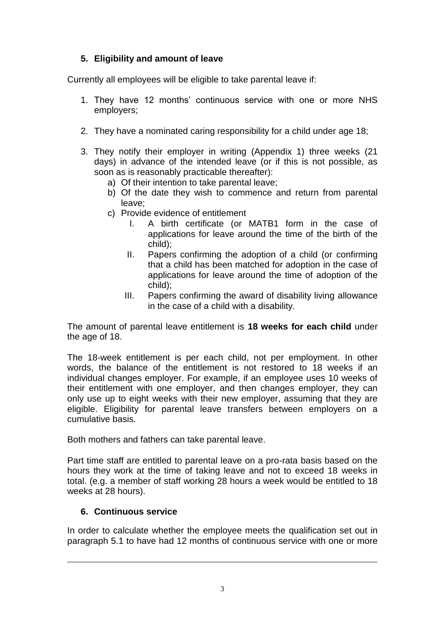# **5. Eligibility and amount of leave**

Currently all employees will be eligible to take parental leave if:

- 1. They have 12 months' continuous service with one or more NHS employers;
- 2. They have a nominated caring responsibility for a child under age 18;
- 3. They notify their employer in writing (Appendix 1) three weeks (21 days) in advance of the intended leave (or if this is not possible, as soon as is reasonably practicable thereafter):
	- a) Of their intention to take parental leave;
	- b) Of the date they wish to commence and return from parental leave;
	- c) Provide evidence of entitlement
		- I. A birth certificate (or MATB1 form in the case of applications for leave around the time of the birth of the child);
		- II. Papers confirming the adoption of a child (or confirming that a child has been matched for adoption in the case of applications for leave around the time of adoption of the child);
		- III. Papers confirming the award of disability living allowance in the case of a child with a disability.

The amount of parental leave entitlement is **18 weeks for each child** under the age of 18.

The 18-week entitlement is per each child, not per employment. In other words, the balance of the entitlement is not restored to 18 weeks if an individual changes employer. For example, if an employee uses 10 weeks of their entitlement with one employer, and then changes employer, they can only use up to eight weeks with their new employer, assuming that they are eligible. Eligibility for parental leave transfers between employers on a cumulative basis.

Both mothers and fathers can take parental leave.

Part time staff are entitled to parental leave on a pro-rata basis based on the hours they work at the time of taking leave and not to exceed 18 weeks in total. (e.g. a member of staff working 28 hours a week would be entitled to 18 weeks at 28 hours).

# **6. Continuous service**

 $\overline{a}$ 

In order to calculate whether the employee meets the qualification set out in paragraph 5.1 to have had 12 months of continuous service with one or more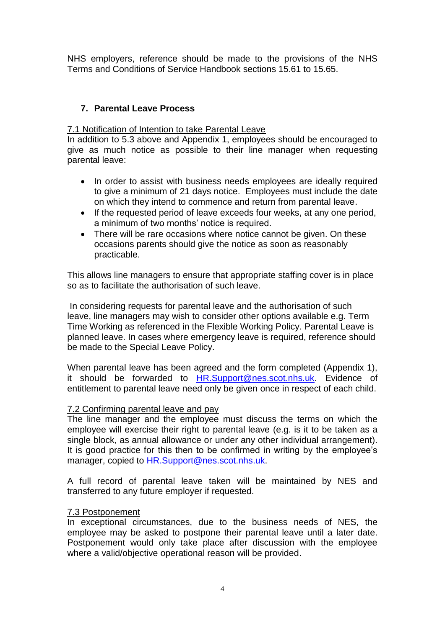NHS employers, reference should be made to the provisions of the NHS Terms and Conditions of Service Handbook sections 15.61 to 15.65.

### **7. Parental Leave Process**

7.1 Notification of Intention to take Parental Leave

In addition to 5.3 above and Appendix 1, employees should be encouraged to give as much notice as possible to their line manager when requesting parental leave:

- In order to assist with business needs employees are ideally required to give a minimum of 21 days notice. Employees must include the date on which they intend to commence and return from parental leave.
- If the requested period of leave exceeds four weeks, at any one period, a minimum of two months' notice is required.
- There will be rare occasions where notice cannot be given. On these occasions parents should give the notice as soon as reasonably practicable.

This allows line managers to ensure that appropriate staffing cover is in place so as to facilitate the authorisation of such leave.

In considering requests for parental leave and the authorisation of such leave, line managers may wish to consider other options available e.g. Term Time Working as referenced in the Flexible Working Policy. Parental Leave is planned leave. In cases where emergency leave is required, reference should be made to the Special Leave Policy.

When parental leave has been agreed and the form completed (Appendix 1), it should be forwarded to [HR.Support@nes.scot.nhs.uk.](mailto:HR.Support@nes.scot.nhs.uk) Evidence of entitlement to parental leave need only be given once in respect of each child.

### 7.2 Confirming parental leave and pay

The line manager and the employee must discuss the terms on which the employee will exercise their right to parental leave (e.g. is it to be taken as a single block, as annual allowance or under any other individual arrangement). It is good practice for this then to be confirmed in writing by the employee's manager, copied to [HR.Support@nes.scot.nhs.uk.](mailto:HR.Support@nes.scot.nhs.uk)

A full record of parental leave taken will be maintained by NES and transferred to any future employer if requested.

#### 7.3 Postponement

In exceptional circumstances, due to the business needs of NES, the employee may be asked to postpone their parental leave until a later date. Postponement would only take place after discussion with the employee where a valid/objective operational reason will be provided.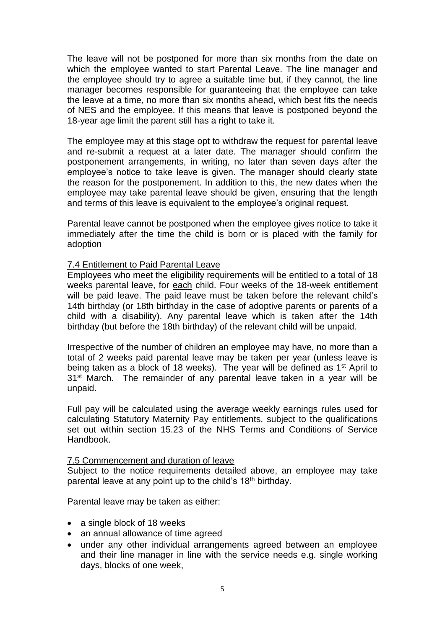The leave will not be postponed for more than six months from the date on which the employee wanted to start Parental Leave. The line manager and the employee should try to agree a suitable time but, if they cannot, the line manager becomes responsible for guaranteeing that the employee can take the leave at a time, no more than six months ahead, which best fits the needs of NES and the employee. If this means that leave is postponed beyond the 18-year age limit the parent still has a right to take it.

The employee may at this stage opt to withdraw the request for parental leave and re-submit a request at a later date. The manager should confirm the postponement arrangements, in writing, no later than seven days after the employee's notice to take leave is given. The manager should clearly state the reason for the postponement. In addition to this, the new dates when the employee may take parental leave should be given, ensuring that the length and terms of this leave is equivalent to the employee's original request.

Parental leave cannot be postponed when the employee gives notice to take it immediately after the time the child is born or is placed with the family for adoption

### 7.4 Entitlement to Paid Parental Leave

Employees who meet the eligibility requirements will be entitled to a total of 18 weeks parental leave, for each child. Four weeks of the 18-week entitlement will be paid leave. The paid leave must be taken before the relevant child's 14th birthday (or 18th birthday in the case of adoptive parents or parents of a child with a disability). Any parental leave which is taken after the 14th birthday (but before the 18th birthday) of the relevant child will be unpaid.

Irrespective of the number of children an employee may have, no more than a total of 2 weeks paid parental leave may be taken per year (unless leave is being taken as a block of 18 weeks). The year will be defined as 1<sup>st</sup> April to 31<sup>st</sup> March. The remainder of any parental leave taken in a year will be unpaid.

Full pay will be calculated using the average weekly earnings rules used for calculating Statutory Maternity Pay entitlements, subject to the qualifications set out within section 15.23 of the NHS Terms and Conditions of Service Handbook.

### 7.5 Commencement and duration of leave

Subject to the notice requirements detailed above, an employee may take parental leave at any point up to the child's 18<sup>th</sup> birthday.

Parental leave may be taken as either:

- a single block of 18 weeks
- an annual allowance of time agreed
- under any other individual arrangements agreed between an employee and their line manager in line with the service needs e.g. single working days, blocks of one week,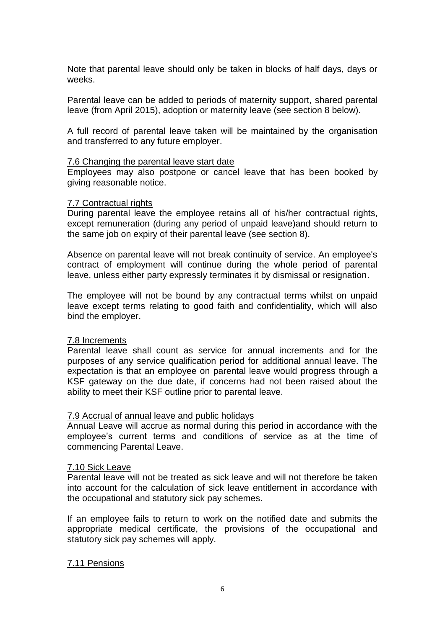Note that parental leave should only be taken in blocks of half days, days or weeks.

Parental leave can be added to periods of maternity support, shared parental leave (from April 2015), adoption or maternity leave (see section 8 below).

A full record of parental leave taken will be maintained by the organisation and transferred to any future employer.

#### 7.6 Changing the parental leave start date

Employees may also postpone or cancel leave that has been booked by giving reasonable notice.

#### 7.7 Contractual rights

During parental leave the employee retains all of his/her contractual rights, except remuneration (during any period of unpaid leave)and should return to the same job on expiry of their parental leave (see section 8).

Absence on parental leave will not break continuity of service. An employee's contract of employment will continue during the whole period of parental leave, unless either party expressly terminates it by dismissal or resignation.

The employee will not be bound by any contractual terms whilst on unpaid leave except terms relating to good faith and confidentiality, which will also bind the employer.

#### 7.8 Increments

Parental leave shall count as service for annual increments and for the purposes of any service qualification period for additional annual leave. The expectation is that an employee on parental leave would progress through a KSF gateway on the due date, if concerns had not been raised about the ability to meet their KSF outline prior to parental leave.

#### 7.9 Accrual of annual leave and public holidays

Annual Leave will accrue as normal during this period in accordance with the employee's current terms and conditions of service as at the time of commencing Parental Leave.

#### 7.10 Sick Leave

Parental leave will not be treated as sick leave and will not therefore be taken into account for the calculation of sick leave entitlement in accordance with the occupational and statutory sick pay schemes.

If an employee fails to return to work on the notified date and submits the appropriate medical certificate, the provisions of the occupational and statutory sick pay schemes will apply.

#### 7.11 Pensions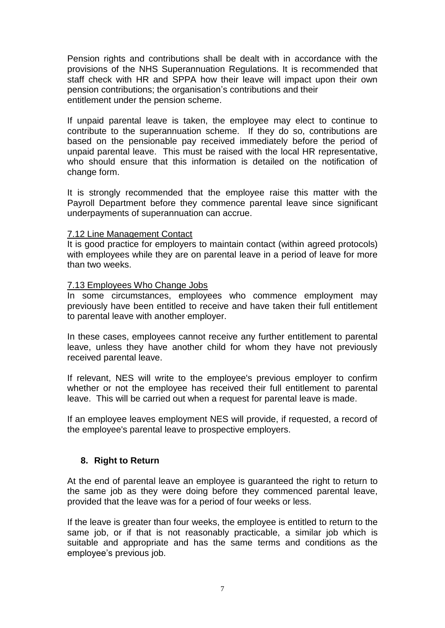Pension rights and contributions shall be dealt with in accordance with the provisions of the NHS Superannuation Regulations. It is recommended that staff check with HR and SPPA how their leave will impact upon their own pension contributions; the organisation's contributions and their entitlement under the pension scheme.

If unpaid parental leave is taken, the employee may elect to continue to contribute to the superannuation scheme. If they do so, contributions are based on the pensionable pay received immediately before the period of unpaid parental leave. This must be raised with the local HR representative, who should ensure that this information is detailed on the notification of change form.

It is strongly recommended that the employee raise this matter with the Payroll Department before they commence parental leave since significant underpayments of superannuation can accrue.

### 7.12 Line Management Contact

It is good practice for employers to maintain contact (within agreed protocols) with employees while they are on parental leave in a period of leave for more than two weeks.

### 7.13 Employees Who Change Jobs

In some circumstances, employees who commence employment may previously have been entitled to receive and have taken their full entitlement to parental leave with another employer.

In these cases, employees cannot receive any further entitlement to parental leave, unless they have another child for whom they have not previously received parental leave.

If relevant, NES will write to the employee's previous employer to confirm whether or not the employee has received their full entitlement to parental leave. This will be carried out when a request for parental leave is made.

If an employee leaves employment NES will provide, if requested, a record of the employee's parental leave to prospective employers.

### **8. Right to Return**

At the end of parental leave an employee is guaranteed the right to return to the same job as they were doing before they commenced parental leave, provided that the leave was for a period of four weeks or less.

If the leave is greater than four weeks, the employee is entitled to return to the same job, or if that is not reasonably practicable, a similar job which is suitable and appropriate and has the same terms and conditions as the employee's previous job.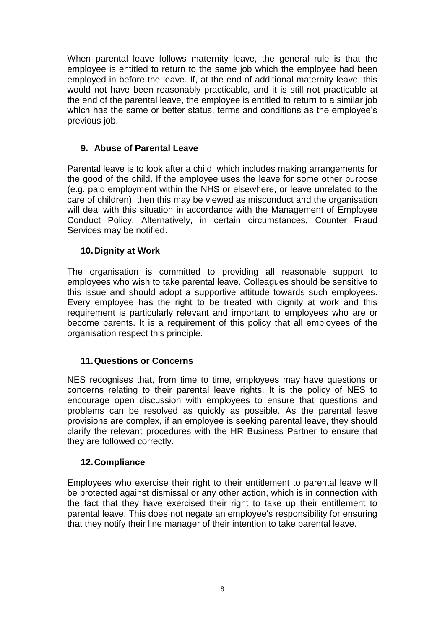When parental leave follows maternity leave, the general rule is that the employee is entitled to return to the same job which the employee had been employed in before the leave. If, at the end of additional maternity leave, this would not have been reasonably practicable, and it is still not practicable at the end of the parental leave, the employee is entitled to return to a similar job which has the same or better status, terms and conditions as the employee's previous job.

### **9. Abuse of Parental Leave**

Parental leave is to look after a child, which includes making arrangements for the good of the child. If the employee uses the leave for some other purpose (e.g. paid employment within the NHS or elsewhere, or leave unrelated to the care of children), then this may be viewed as misconduct and the organisation will deal with this situation in accordance with the Management of Employee Conduct Policy. Alternatively, in certain circumstances, Counter Fraud Services may be notified.

### **10.Dignity at Work**

The organisation is committed to providing all reasonable support to employees who wish to take parental leave. Colleagues should be sensitive to this issue and should adopt a supportive attitude towards such employees. Every employee has the right to be treated with dignity at work and this requirement is particularly relevant and important to employees who are or become parents. It is a requirement of this policy that all employees of the organisation respect this principle.

### **11.Questions or Concerns**

NES recognises that, from time to time, employees may have questions or concerns relating to their parental leave rights. It is the policy of NES to encourage open discussion with employees to ensure that questions and problems can be resolved as quickly as possible. As the parental leave provisions are complex, if an employee is seeking parental leave, they should clarify the relevant procedures with the HR Business Partner to ensure that they are followed correctly.

### **12.Compliance**

Employees who exercise their right to their entitlement to parental leave will be protected against dismissal or any other action, which is in connection with the fact that they have exercised their right to take up their entitlement to parental leave. This does not negate an employee's responsibility for ensuring that they notify their line manager of their intention to take parental leave.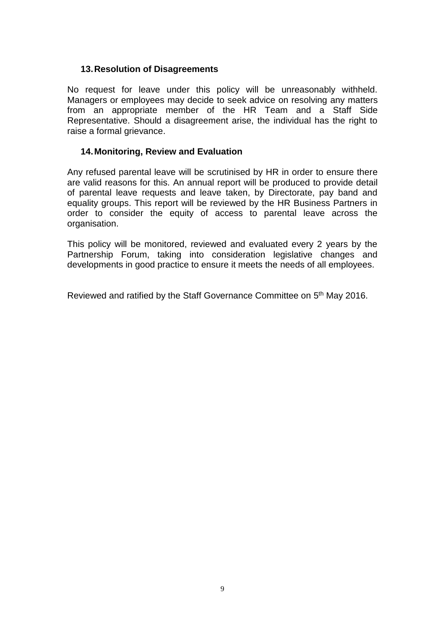### **13.Resolution of Disagreements**

No request for leave under this policy will be unreasonably withheld. Managers or employees may decide to seek advice on resolving any matters from an appropriate member of the HR Team and a Staff Side Representative. Should a disagreement arise, the individual has the right to raise a formal grievance.

### **14.Monitoring, Review and Evaluation**

Any refused parental leave will be scrutinised by HR in order to ensure there are valid reasons for this. An annual report will be produced to provide detail of parental leave requests and leave taken, by Directorate, pay band and equality groups. This report will be reviewed by the HR Business Partners in order to consider the equity of access to parental leave across the organisation.

This policy will be monitored, reviewed and evaluated every 2 years by the Partnership Forum, taking into consideration legislative changes and developments in good practice to ensure it meets the needs of all employees.

Reviewed and ratified by the Staff Governance Committee on 5<sup>th</sup> May 2016.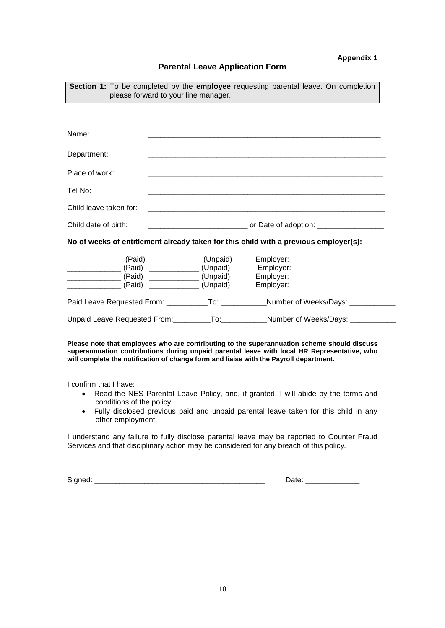#### **Appendix 1**

#### **Parental Leave Application Form**

| <b>Section 1:</b> To be completed by the <b>employee</b> requesting parental leave. On completion<br>please forward to your line manager.                                                                                                                |  |                                                                                        |  |  |
|----------------------------------------------------------------------------------------------------------------------------------------------------------------------------------------------------------------------------------------------------------|--|----------------------------------------------------------------------------------------|--|--|
|                                                                                                                                                                                                                                                          |  |                                                                                        |  |  |
| Name:                                                                                                                                                                                                                                                    |  |                                                                                        |  |  |
| Department:                                                                                                                                                                                                                                              |  |                                                                                        |  |  |
| Place of work:                                                                                                                                                                                                                                           |  |                                                                                        |  |  |
| Tel No:                                                                                                                                                                                                                                                  |  |                                                                                        |  |  |
| Child leave taken for:                                                                                                                                                                                                                                   |  | <u> 1989 - Johann Stein, Amerikaansk politiker († 1989)</u>                            |  |  |
| Child date of birth:                                                                                                                                                                                                                                     |  | _________________________________ or Date of adoption: _________________________       |  |  |
|                                                                                                                                                                                                                                                          |  | No of weeks of entitlement already taken for this child with a previous employer(s):   |  |  |
| ____________________(Paid) ________________(Unpaid) Employer:<br>___________________(Paid) _______________(Unpaid) Employer:<br>_______________________(Paid) _____________________(Unpaid)    Employer:<br>______________ (Paid) _____________ (Unpaid) |  | Employer:                                                                              |  |  |
|                                                                                                                                                                                                                                                          |  | Paid Leave Requested From: ___________To: ____________Number of Weeks/Days: __________ |  |  |
|                                                                                                                                                                                                                                                          |  | Unpaid Leave Requested From: __________To: ____________Number of Weeks/Days: _________ |  |  |

#### **Please note that employees who are contributing to the superannuation scheme should discuss superannuation contributions during unpaid parental leave with local HR Representative, who will complete the notification of change form and liaise with the Payroll department.**

I confirm that I have:

- Read the NES Parental Leave Policy, and, if granted, I will abide by the terms and conditions of the policy.
- Fully disclosed previous paid and unpaid parental leave taken for this child in any other employment.

I understand any failure to fully disclose parental leave may be reported to Counter Fraud Services and that disciplinary action may be considered for any breach of this policy.

Signed: \_\_\_\_\_\_\_\_\_\_\_\_\_\_\_\_\_\_\_\_\_\_\_\_\_\_\_\_\_\_\_\_\_\_\_\_\_\_\_\_\_ Date: \_\_\_\_\_\_\_\_\_\_\_\_\_